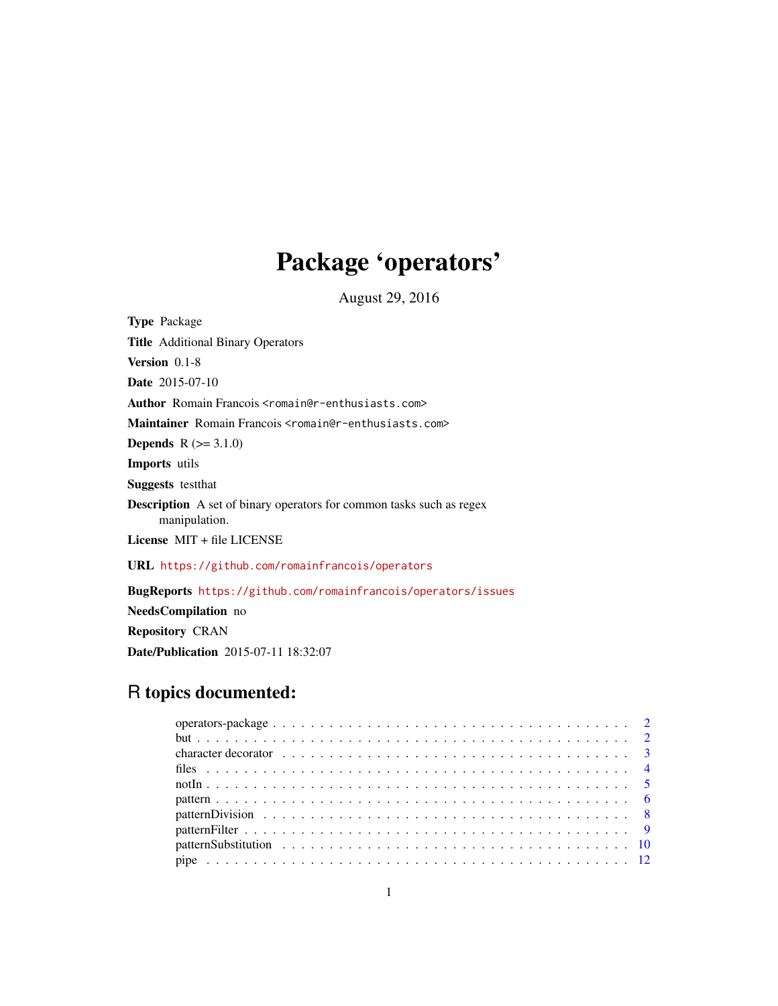# Package 'operators'

August 29, 2016

<span id="page-0-0"></span>

| <b>Type Package</b>                                                                          |
|----------------------------------------------------------------------------------------------|
| <b>Title</b> Additional Binary Operators                                                     |
| <b>Version</b> $0.1-8$                                                                       |
| <b>Date</b> 2015-07-10                                                                       |
| Author Romain Francois <romain@r-enthusiasts.com></romain@r-enthusiasts.com>                 |
| Maintainer Romain Francois <romain@r-enthusiasts.com></romain@r-enthusiasts.com>             |
| <b>Depends</b> $R (= 3.1.0)$                                                                 |
| <b>Imports</b> utils                                                                         |
| <b>Suggests</b> test that                                                                    |
| <b>Description</b> A set of binary operators for common tasks such as regex<br>manipulation. |
| License $MIT + file LICENSE$                                                                 |
| URL https://github.com/romainfrancois/operators                                              |
| <b>BugReports</b> https://github.com/romainfrancois/operators/issues                         |
| <b>NeedsCompilation</b> no                                                                   |

Repository CRAN

Date/Publication 2015-07-11 18:32:07

## R topics documented: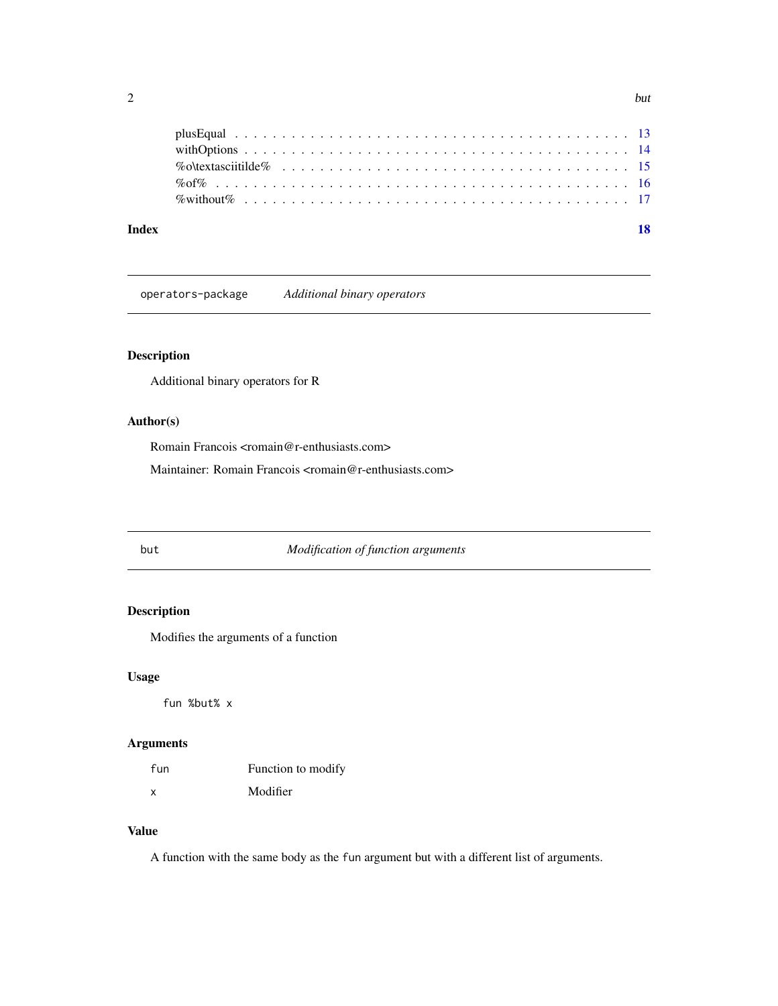<span id="page-1-0"></span>

| Index |  |
|-------|--|
|       |  |
|       |  |
|       |  |
|       |  |
|       |  |

operators-package *Additional binary operators*

## Description

Additional binary operators for R

## Author(s)

Romain Francois <romain@r-enthusiasts.com>

Maintainer: Romain Francois <romain@r-enthusiasts.com>

#### but *Modification of function arguments*

## <span id="page-1-1"></span>Description

Modifies the arguments of a function

## Usage

fun %but% x

## Arguments

| fun | Function to modify |
|-----|--------------------|
| x   | Modifier           |

## Value

A function with the same body as the fun argument but with a different list of arguments.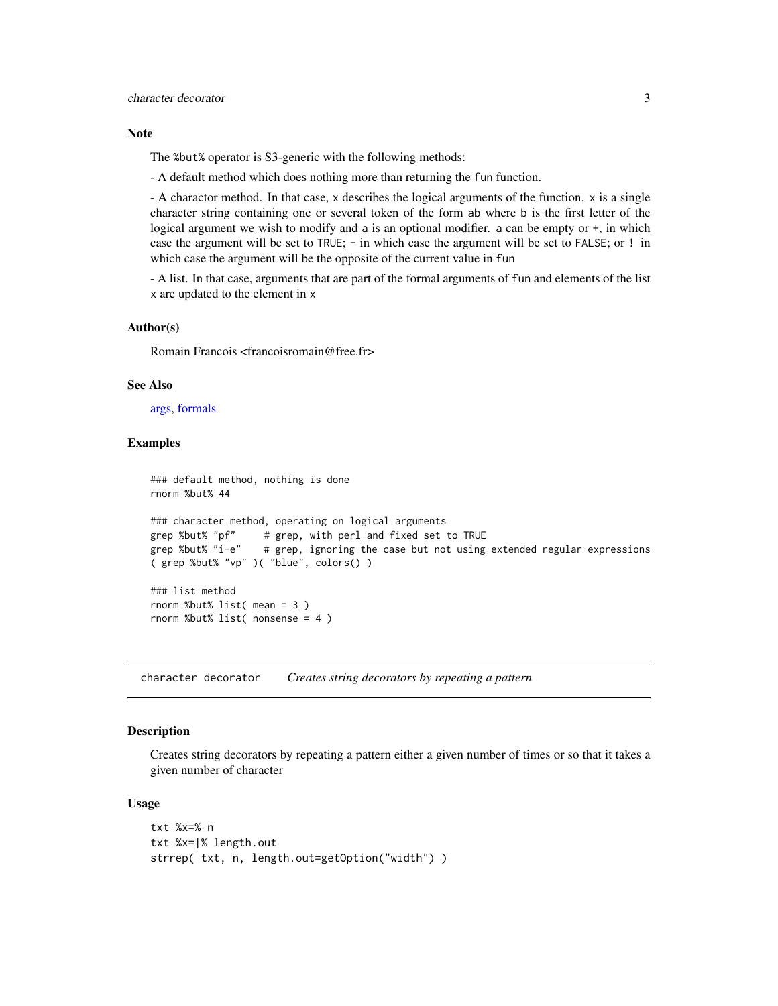#### <span id="page-2-0"></span>Note

The %but% operator is S3-generic with the following methods:

- A default method which does nothing more than returning the fun function.

- A charactor method. In that case, x describes the logical arguments of the function. x is a single character string containing one or several token of the form ab where b is the first letter of the logical argument we wish to modify and a is an optional modifier. a can be empty or  $+$ , in which case the argument will be set to TRUE; - in which case the argument will be set to FALSE; or ! in which case the argument will be the opposite of the current value in fun

- A list. In that case, arguments that are part of the formal arguments of fun and elements of the list x are updated to the element in x

#### Author(s)

Romain Francois <francoisromain@free.fr>

#### See Also

[args,](#page-0-0) [formals](#page-0-0)

#### Examples

```
### default method, nothing is done
rnorm %but% 44
### character method, operating on logical arguments
grep %but% "pf" # grep, with perl and fixed set to TRUE
grep %but% "i-e" # grep, ignoring the case but not using extended regular expressions
( grep %but% "vp" )( "blue", colors() )
### list method
rnorm %but% list( mean = 3 )
rnorm %but% list( nonsense = 4 )
```
character decorator *Creates string decorators by repeating a pattern*

#### Description

Creates string decorators by repeating a pattern either a given number of times or so that it takes a given number of character

#### Usage

```
txt %x=% n
txt %x=|% length.out
strrep( txt, n, length.out=getOption("width") )
```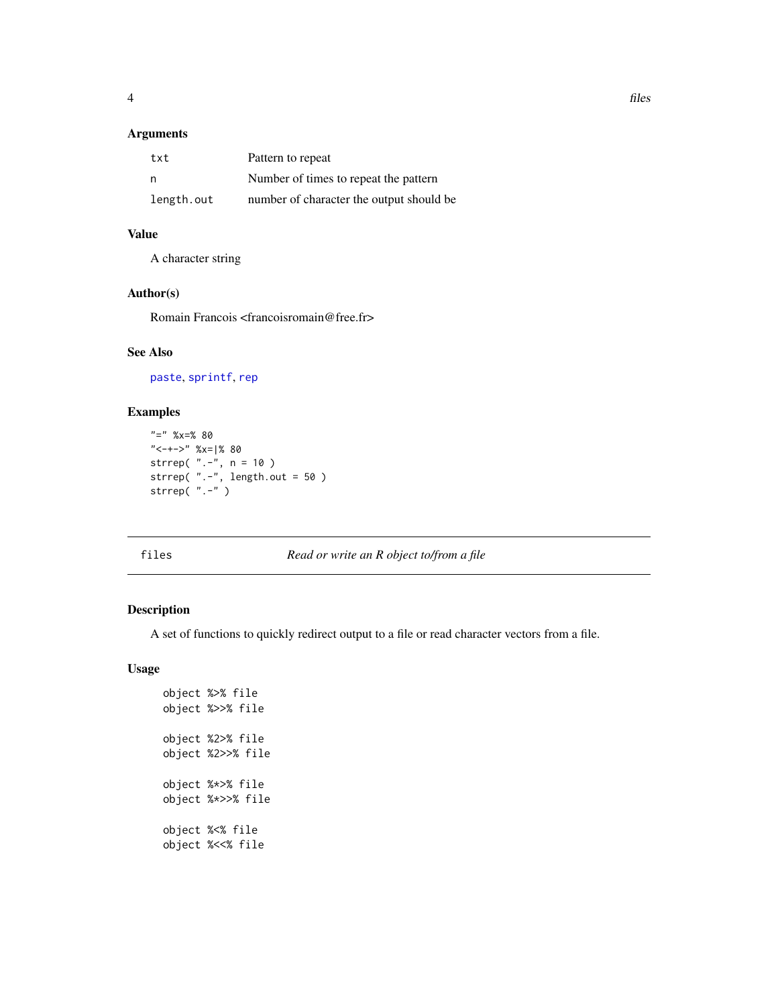## <span id="page-3-0"></span>Arguments

| txt        | Pattern to repeat                        |
|------------|------------------------------------------|
| n          | Number of times to repeat the pattern    |
| length.out | number of character the output should be |

## Value

A character string

## Author(s)

Romain Francois <francoisromain@free.fr>

## See Also

[paste](#page-0-0), [sprintf](#page-0-0), [rep](#page-0-0)

## Examples

```
"=" %x=% 80
"<-+->" %x=|% 80
strrep( ".-", n = 10 )
strrep( ".-", length.out = 50 )
strrep( ".-" )
```
## files *Read or write an R object to/from a file*

#### Description

A set of functions to quickly redirect output to a file or read character vectors from a file.

## Usage

```
object %>% file
object %>>% file
object %2>% file
object %2>>% file
object %*>% file
object %*>>% file
object %<% file
object %<<% file
```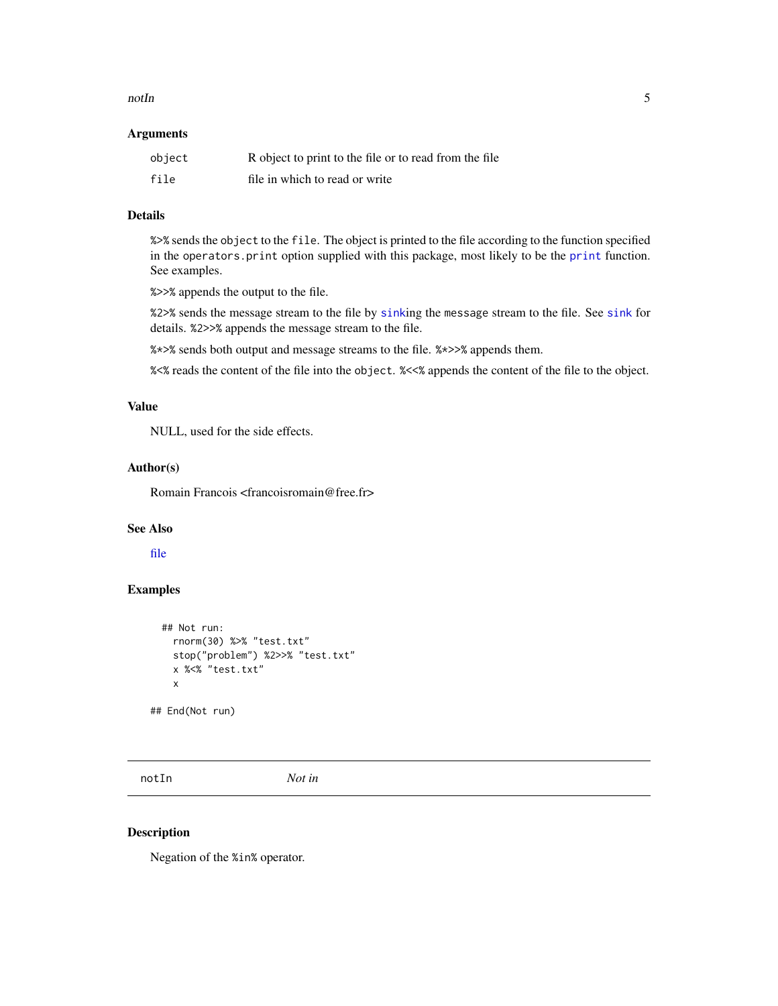#### <span id="page-4-0"></span> $\sim$  5

#### Arguments

| object | R object to print to the file or to read from the file |
|--------|--------------------------------------------------------|
| file   | file in which to read or write                         |

## Details

%>% sends the object to the file. The object is printed to the file according to the function specified in the operators.print option supplied with this package, most likely to be the [print](#page-0-0) function. See examples.

%>>% appends the output to the file.

%2>% sends the message stream to the file by [sink](#page-0-0)ing the message stream to the file. See [sink](#page-0-0) for details. %2>>% appends the message stream to the file.

%\*>% sends both output and message streams to the file. %\*>>% appends them.

%<% reads the content of the file into the object. %<<% appends the content of the file to the object.

## Value

NULL, used for the side effects.

## Author(s)

Romain Francois <francoisromain@free.fr>

## See Also

[file](#page-0-0)

#### Examples

```
## Not run:
 rnorm(30) %>% "test.txt"
  stop("problem") %2>>% "test.txt"
 x %<% "test.txt"
  x
```
## End(Not run)

notIn *Not in*

## Description

Negation of the %in% operator.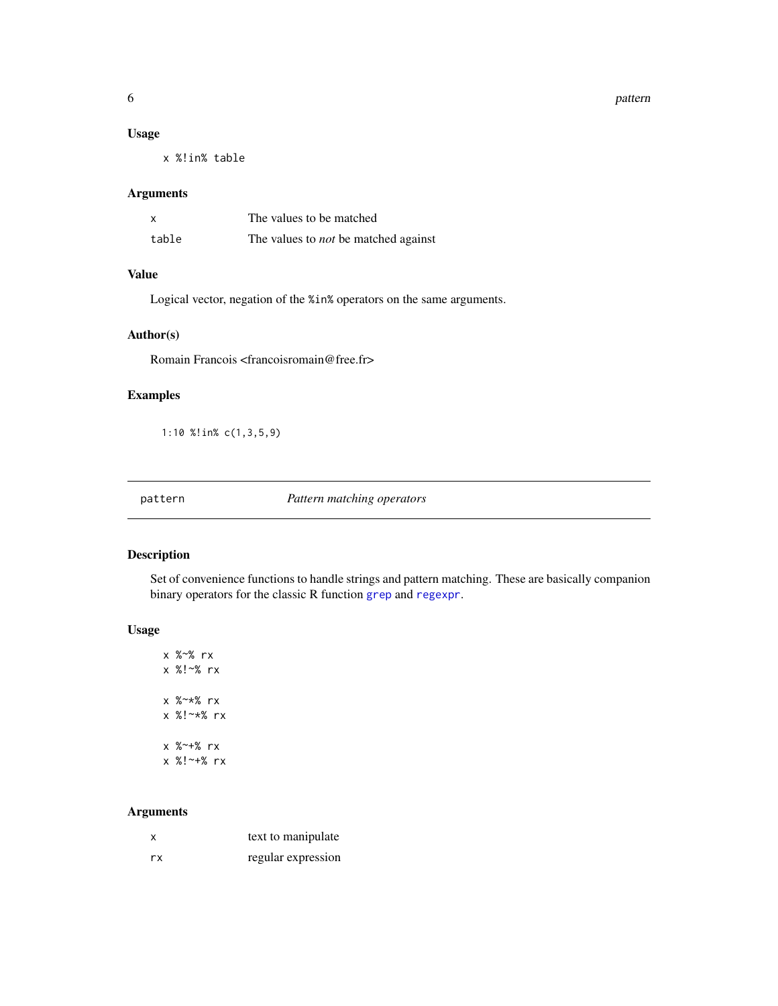#### <span id="page-5-0"></span>6 pattern and the control of the control of the control of the control of the control of the control of the control of the control of the control of the control of the control of the control of the control of the control o

### Usage

x %!in% table

#### Arguments

| X     | The values to be matched                    |
|-------|---------------------------------------------|
| table | The values to <i>not</i> be matched against |

## Value

Logical vector, negation of the %in% operators on the same arguments.

## Author(s)

Romain Francois <francoisromain@free.fr>

## Examples

1:10 %!in% c(1,3,5,9)

pattern *Pattern matching operators*

## Description

Set of convenience functions to handle strings and pattern matching. These are basically companion binary operators for the classic R function [grep](#page-0-0) and [regexpr](#page-0-0).

#### Usage

x %~% rx x %!~% rx x %~\*% rx x %!~\*% rx x %~+% rx x %!~+% rx

## Arguments

| x   | text to manipulate |
|-----|--------------------|
| rx. | regular expression |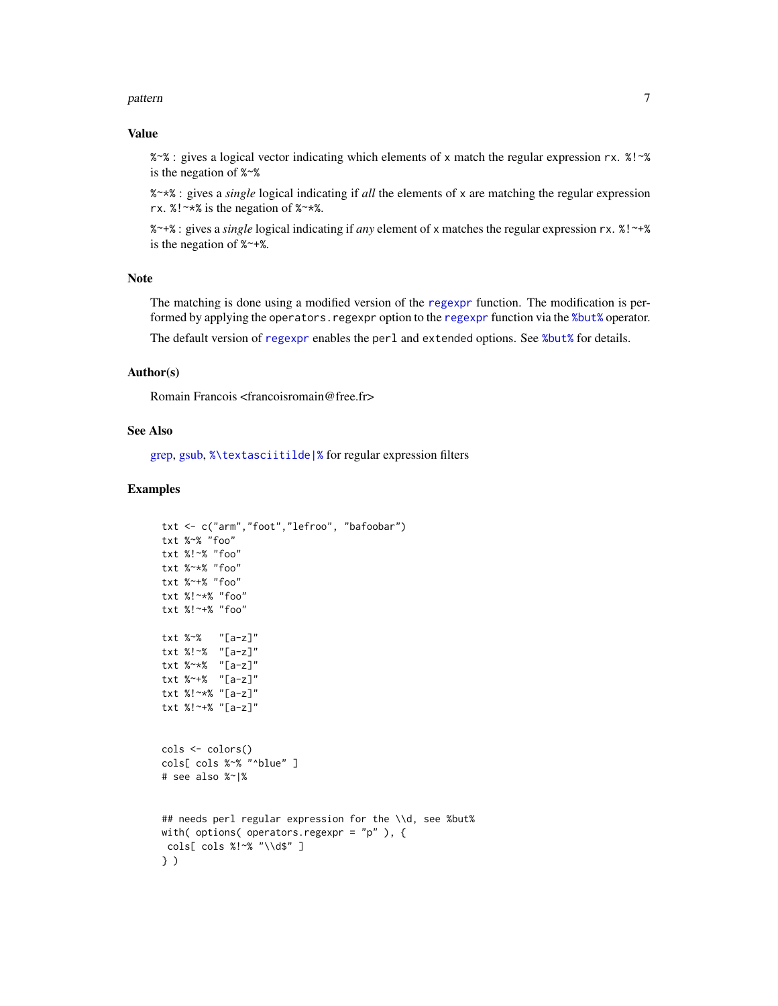#### <span id="page-6-0"></span>pattern 3000 m and 2000 m and 2000 m and 2000 m and 2000 m and 2000 m and 2000 m and 2000 m and 2000 m and 200

## Value

%~% : gives a logical vector indicating which elements of x match the regular expression rx. %!~% is the negation of %~%

%~\*% : gives a *single* logical indicating if *all* the elements of x are matching the regular expression rx. %!~\*% is the negation of %~\*%.

%~+% : gives a *single* logical indicating if *any* element of x matches the regular expression rx. %!~+% is the negation of %~+%.

## Note

The matching is done using a modified version of the [regexpr](#page-0-0) function. The modification is performed by applying the operators.[regexpr](#page-0-0) option to the regexpr function via the [%but%](#page-1-1) operator. The default version of [regexpr](#page-0-0) enables the perl and extended options. See [%but%](#page-1-1) for details.

#### Author(s)

Romain Francois <francoisromain@free.fr>

#### See Also

[grep,](#page-0-0) [gsub,](#page-0-0) [%\textasciitilde|%](#page-8-1) for regular expression filters

#### Examples

```
txt <- c("arm","foot","lefroo", "bafoobar")
txt %~% "foo"
txt %!~% "foo"
txt %~*% "foo"
txt %~+% "foo"
txt %!~*% "foo"
txt %!~+% "foo"
txt %~% "[a-z]"
txt %!~% "[a-z]"
txt %~*% "[a-z]"
txt %~+% "[a-z]"
txt %!~*% "[a-z]"
txt %!~+% "[a-z]"
cols <- colors()
cols[ cols %~% "^blue" ]
# see also %~|%
## needs perl regular expression for the \\d, see %but%
with( options( operators.regexpr = "p" ), {
cols[ cols %!~% "\\d$" ]
} )
```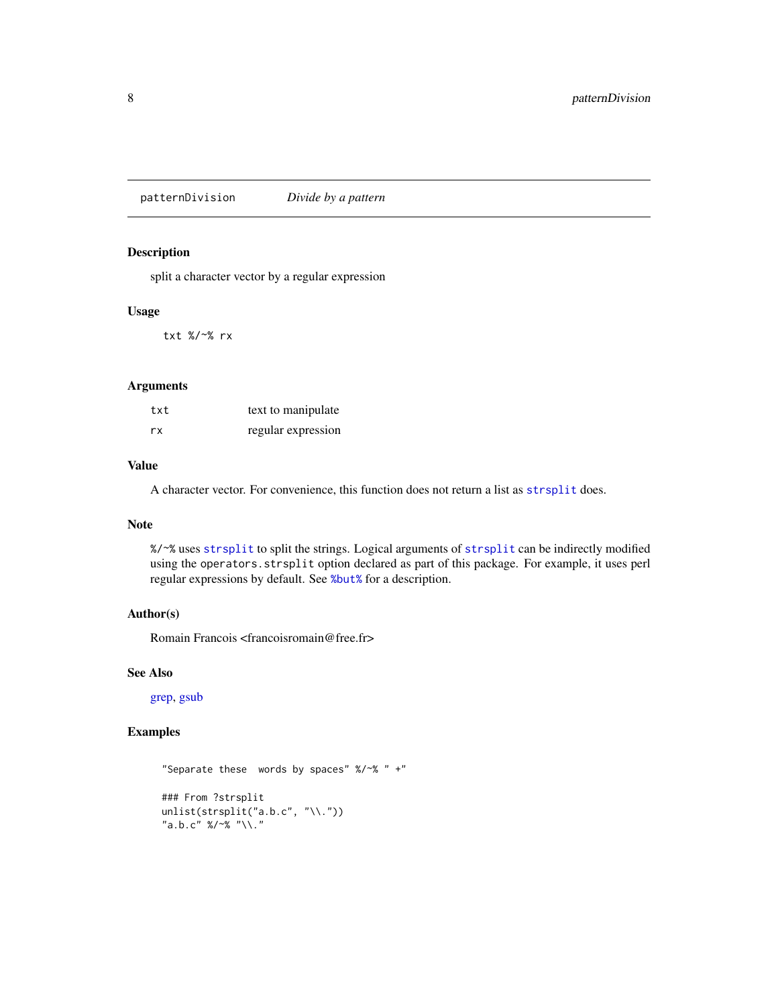<span id="page-7-0"></span>patternDivision *Divide by a pattern*

## Description

split a character vector by a regular expression

#### Usage

txt %/~% rx

## Arguments

| txt | text to manipulate |
|-----|--------------------|
| rx  | regular expression |

## Value

A character vector. For convenience, this function does not return a list as [strsplit](#page-0-0) does.

## Note

%/~% uses [strsplit](#page-0-0) to split the strings. Logical arguments of [strsplit](#page-0-0) can be indirectly modified using the operators.strsplit option declared as part of this package. For example, it uses perl regular expressions by default. See [%but%](#page-1-1) for a description.

## Author(s)

Romain Francois <francoisromain@free.fr>

#### See Also

[grep,](#page-0-0) [gsub](#page-0-0)

## Examples

```
"Separate these words by spaces" %/~% " +"
### From ?strsplit
unlist(strsplit("a.b.c", "\\."))
"a.b.c" %/~% "\\."
```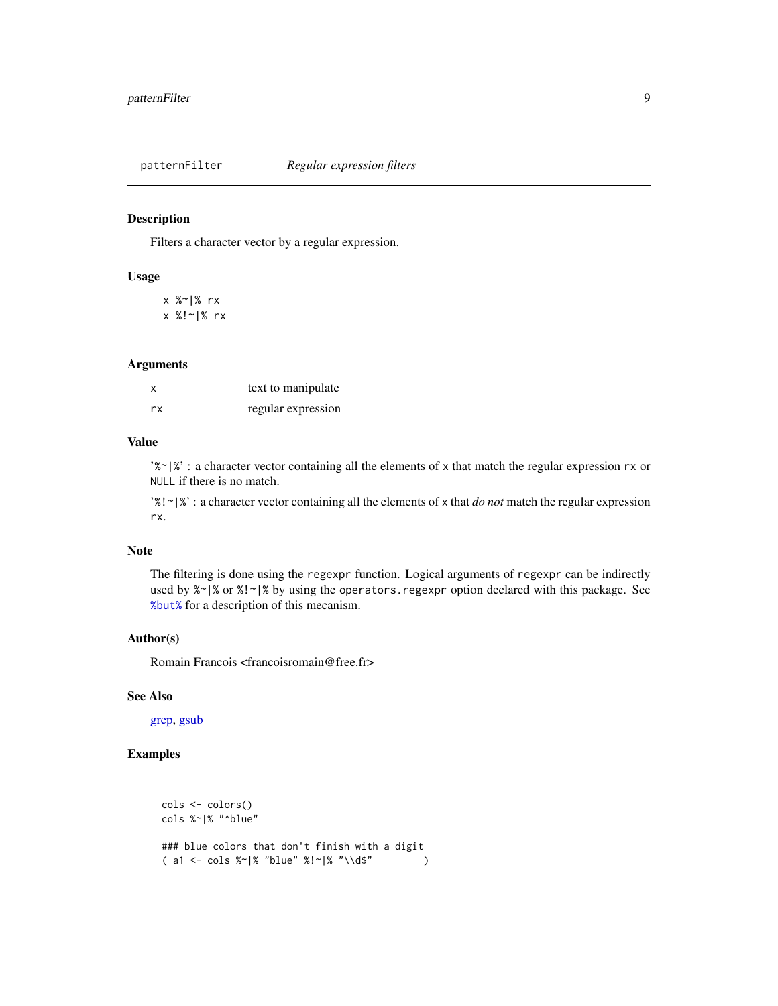<span id="page-8-0"></span>

## <span id="page-8-1"></span>Description

Filters a character vector by a regular expression.

#### Usage

x %~|% rx x %!~|% rx

## Arguments

| X  | text to manipulate |
|----|--------------------|
| rx | regular expression |

## Value

'% $\gamma$ '%' : a character vector containing all the elements of x that match the regular expression rx or NULL if there is no match.

'%!~|%' : a character vector containing all the elements of x that *do not* match the regular expression rx.

#### Note

The filtering is done using the regexpr function. Logical arguments of regexpr can be indirectly used by  $\frac{1}{2}$  or  $\frac{1}{2}$  by using the operators. regexpr option declared with this package. See [%but%](#page-1-1) for a description of this mecanism.

## Author(s)

Romain Francois <francoisromain@free.fr>

## See Also

[grep,](#page-0-0) [gsub](#page-0-0)

## Examples

```
cols <- colors()
cols %~|% "^blue"
### blue colors that don't finish with a digit
( a1 <- cols %~|% "blue" %!~|% "\\d$" )
```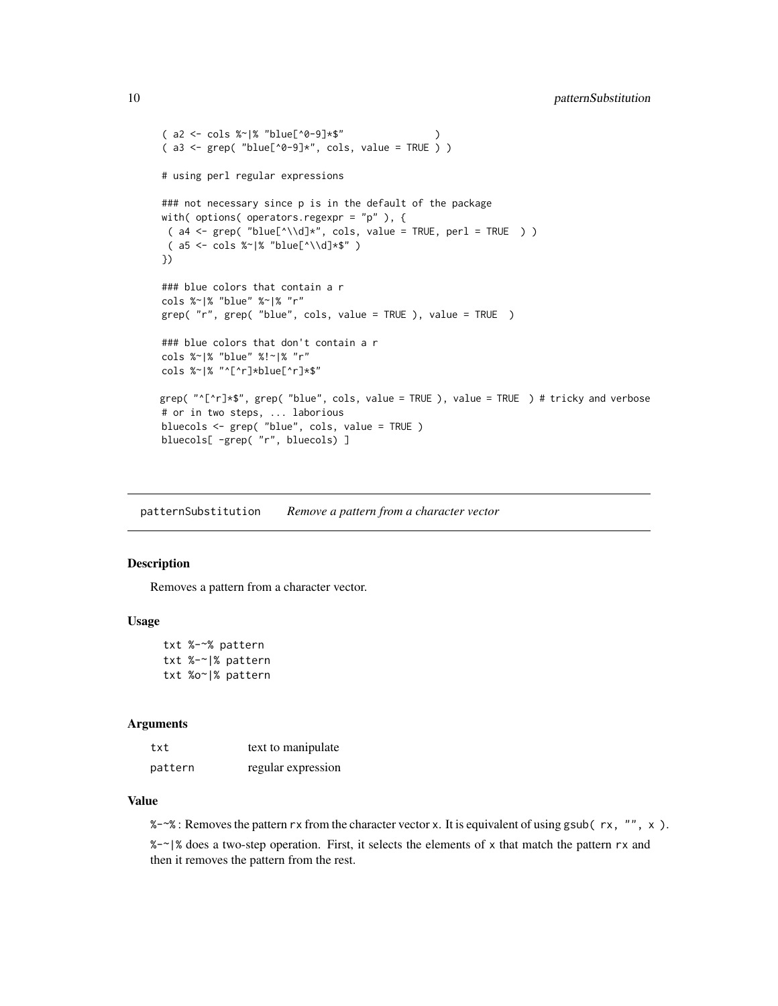```
( a2 \leq - \text{cols } %" "blue[^0-9]*$"
(a3 \leq grep('"blue['0-9]*", cols, value = TRUE ) )# using perl regular expressions
### not necessary since p is in the default of the package
with( options( operators.regexpr = "p" ), {
 (a4 \leq 2 \text{ rep}('blue['\\d]*", cols, value = TRUE, per1 = TRUE ) )(a5 \leq - \text{cols } %"blue['\\d]*$" )
})
### blue colors that contain a r
cols %~|% "blue" %~|% "r"
grep( "r", grep( "blue", cols, value = TRUE ), value = TRUE )
### blue colors that don't contain a r
cols %~|% "blue" %!~|% "r"
cols %~|% "^[^r]*blue[^r]*$"
grep( "^[^r]*$", grep( "blue", cols, value = TRUE ), value = TRUE ) # tricky and verbose
# or in two steps, ... laborious
bluecols <- grep( "blue", cols, value = TRUE )
bluecols[ -grep( "r", bluecols) ]
```
patternSubstitution *Remove a pattern from a character vector*

#### Description

Removes a pattern from a character vector.

## Usage

```
txt %-~% pattern
txt %-~|% pattern
txt %o~|% pattern
```
#### Arguments

| txt     | text to manipulate |
|---------|--------------------|
| pattern | regular expression |

#### Value

 $%$  -~% : Removes the pattern rx from the character vector x. It is equivalent of using gsub(rx, "", x).

%-~|% does a two-step operation. First, it selects the elements of x that match the pattern rx and then it removes the pattern from the rest.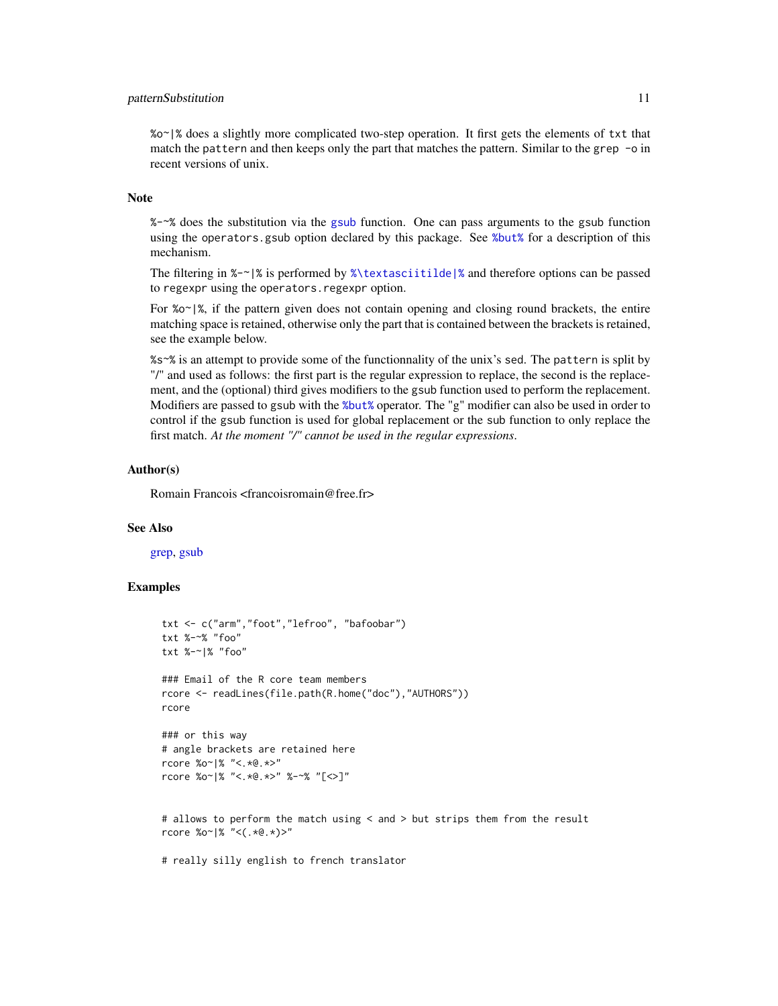#### <span id="page-10-0"></span>patternSubstitution 11

%o~|% does a slightly more complicated two-step operation. It first gets the elements of txt that match the pattern and then keeps only the part that matches the pattern. Similar to the grep -o in recent versions of unix.

#### Note

%-~% does the substitution via the [gsub](#page-0-0) function. One can pass arguments to the gsub function using the operators.gsub option declared by this package. See [%but%](#page-1-1) for a description of this mechanism.

The filtering in  $\varkappa$ - $\varkappa$  is performed by  $\varkappa$  textasciitilde |% and therefore options can be passed to regexpr using the operators.regexpr option.

For *%* $\circ$   $\cdot$   $\cdot$   $\cdot$   $\cdot$  if the pattern given does not contain opening and closing round brackets, the entire matching space is retained, otherwise only the part that is contained between the brackets is retained, see the example below.

%s~% is an attempt to provide some of the functionnality of the unix's sed. The pattern is split by "/" and used as follows: the first part is the regular expression to replace, the second is the replacement, and the (optional) third gives modifiers to the gsub function used to perform the replacement. Modifiers are passed to gsub with the [%but%](#page-1-1) operator. The "g" modifier can also be used in order to control if the gsub function is used for global replacement or the sub function to only replace the first match. *At the moment "/" cannot be used in the regular expressions*.

#### Author(s)

Romain Francois <francoisromain@free.fr>

#### See Also

[grep,](#page-0-0) [gsub](#page-0-0)

## Examples

```
txt <- c("arm","foot","lefroo", "bafoobar")
txt %-~% "foo"
txt %-~|% "foo"
### Email of the R core team members
rcore <- readLines(file.path(R.home("doc"),"AUTHORS"))
rcore
### or this way
# angle brackets are retained here
rcore %o~|% "<.*@.*>"
rcore %o~|% "<.*@.*>" %-~% "[<>]"
# allows to perform the match using < and > but strips them from the result
rcore %o~|% "<(.*@.*)>"
```
# really silly english to french translator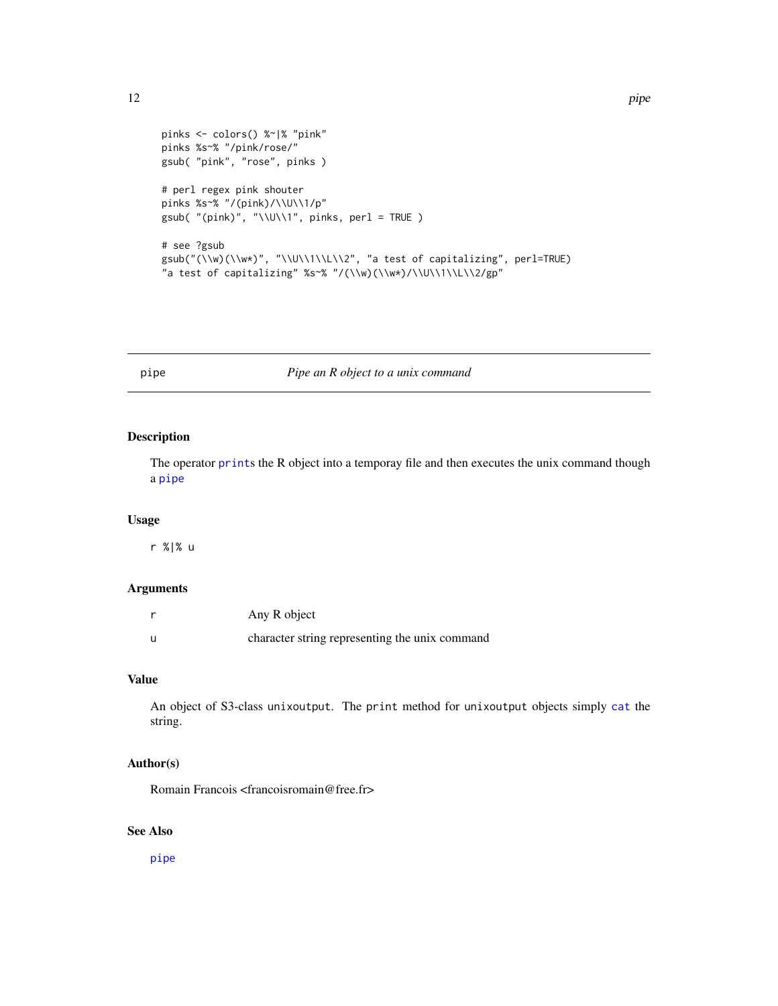```
pinks <- colors() %~|% "pink"
pinks %s~% "/pink/rose/"
gsub( "pink", "rose", pinks )
# perl regex pink shouter
pinks %s~% "/(pink)/\\U\\1/p"
gsub( "(pink)", "\\U\\1", pinks, perl = TRUE )
# see ?gsub
gsub("(\\w)(\\w*)", "\\U\\1\\L\\2", "a test of capitalizing", perl=TRUE)
"a test of capitalizing" %s~% "/(\\w)(\\w*)/\\U\\1\\L\\2/gp"
```
<span id="page-11-1"></span>

#### pipe *Pipe an R object to a unix command*

## Description

The operator [print](#page-0-0)s the R object into a temporay file and then executes the unix command though a [pipe](#page-11-1)

#### Usage

r %|% u

## Arguments

| Any R object                                   |
|------------------------------------------------|
| character string representing the unix command |

## Value

An object of S3-class unixoutput. The print method for unixoutput objects simply [cat](#page-0-0) the string.

## Author(s)

Romain Francois <francoisromain@free.fr>

## See Also

[pipe](#page-11-1)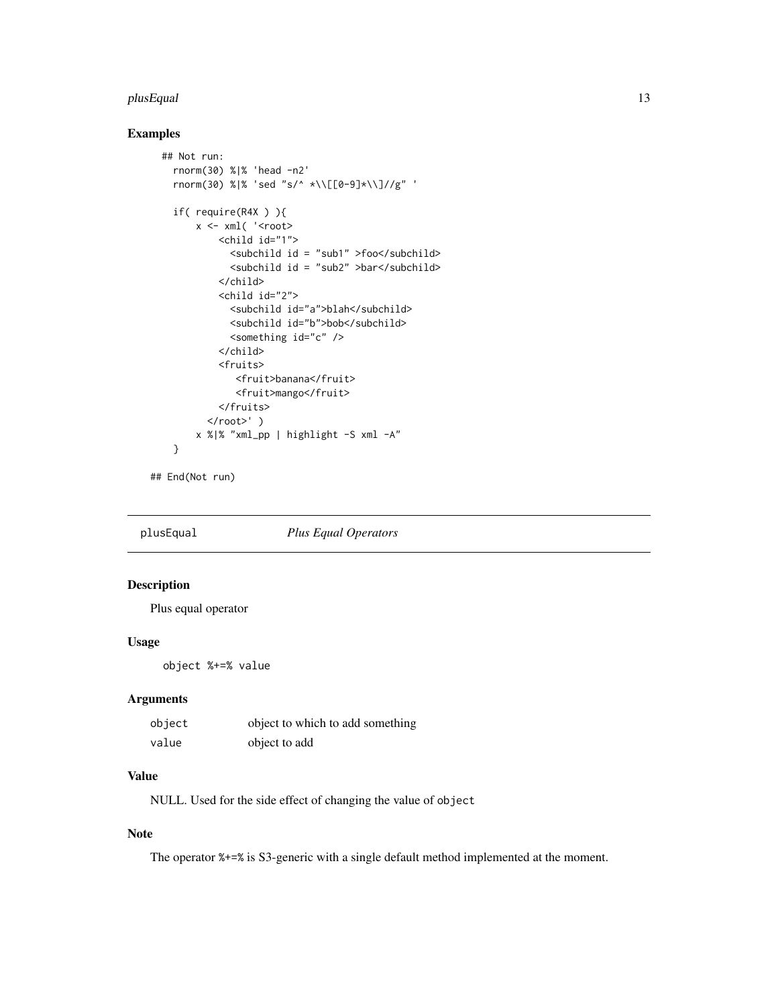#### <span id="page-12-0"></span>plusEqual to the contract of the contract of the contract of the contract of the contract of the contract of the contract of the contract of the contract of the contract of the contract of the contract of the contract of t

## Examples

```
## Not run:
  rnorm(30) %|% 'head -n2'
  rnorm(30) %|% 'sed "s/^ *\\[[0-9]*\\]//g" '
  if( require(R4X ) ){
      x \leftarrow xml('<root><child id="1">
            <subchild id = "sub1" >foo</subchild>
            <subchild id = "sub2" >bar</subchild>
          </child>
          <child id="2">
            <subchild id="a">blah</subchild>
            <subchild id="b">bob</subchild>
            <something id="c" />
          </child>
          <fruits>
             <fruit>banana</fruit>
             <fruit>mango</fruit>
          </fruits>
        </root>' )
      x %|% "xml_pp | highlight -S xml -A"
  }
```
## End(Not run)

plusEqual *Plus Equal Operators*

## Description

Plus equal operator

## Usage

object %+=% value

## Arguments

| object | object to which to add something |
|--------|----------------------------------|
| value  | object to add                    |

## Value

NULL. Used for the side effect of changing the value of object

## Note

The operator %+=% is S3-generic with a single default method implemented at the moment.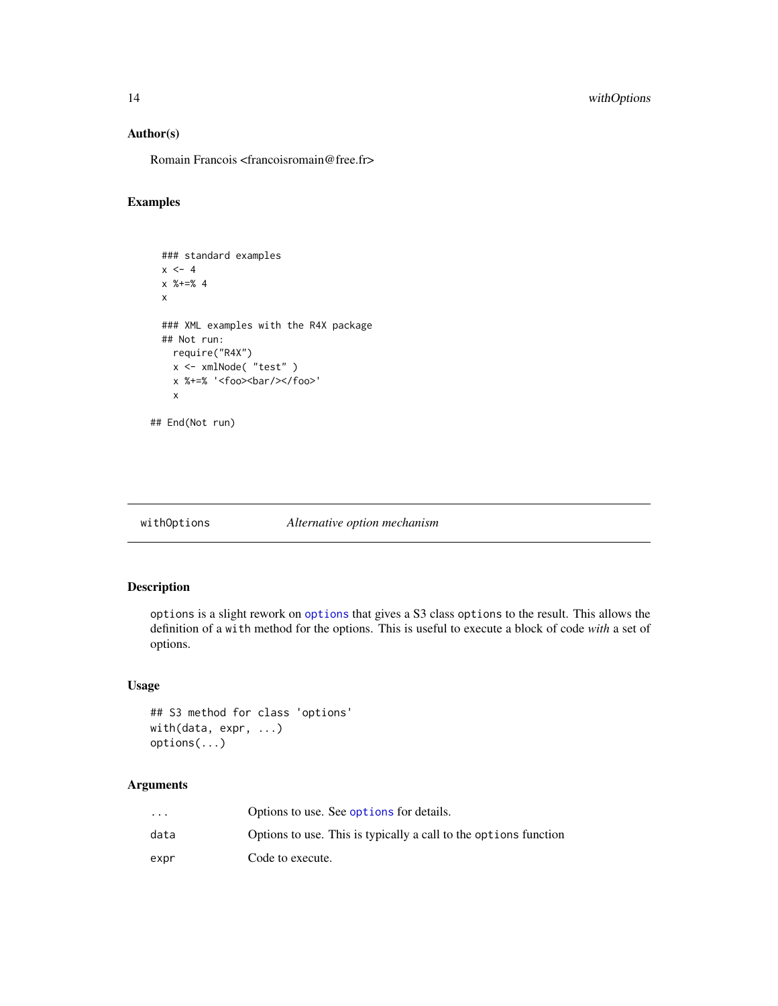## <span id="page-13-0"></span>Author(s)

Romain Francois <francoisromain@free.fr>

## Examples

```
### standard examples
x \le -4x %+=% 4
x
### XML examples with the R4X package
## Not run:
 require("R4X")
 x <- xmlNode( "test" )
 x %+=% '<foo><bar/></foo>'
 x
```

```
## End(Not run)
```
## withOptions *Alternative option mechanism*

## <span id="page-13-1"></span>Description

options is a slight rework on [options](#page-13-1) that gives a S3 class options to the result. This allows the definition of a with method for the options. This is useful to execute a block of code *with* a set of options.

## Usage

```
## S3 method for class 'options'
with(data, expr, ...)
options(...)
```
## Arguments

| $\cdots$ | Options to use. See options for details.                         |
|----------|------------------------------------------------------------------|
| data     | Options to use. This is typically a call to the options function |
| expr     | Code to execute.                                                 |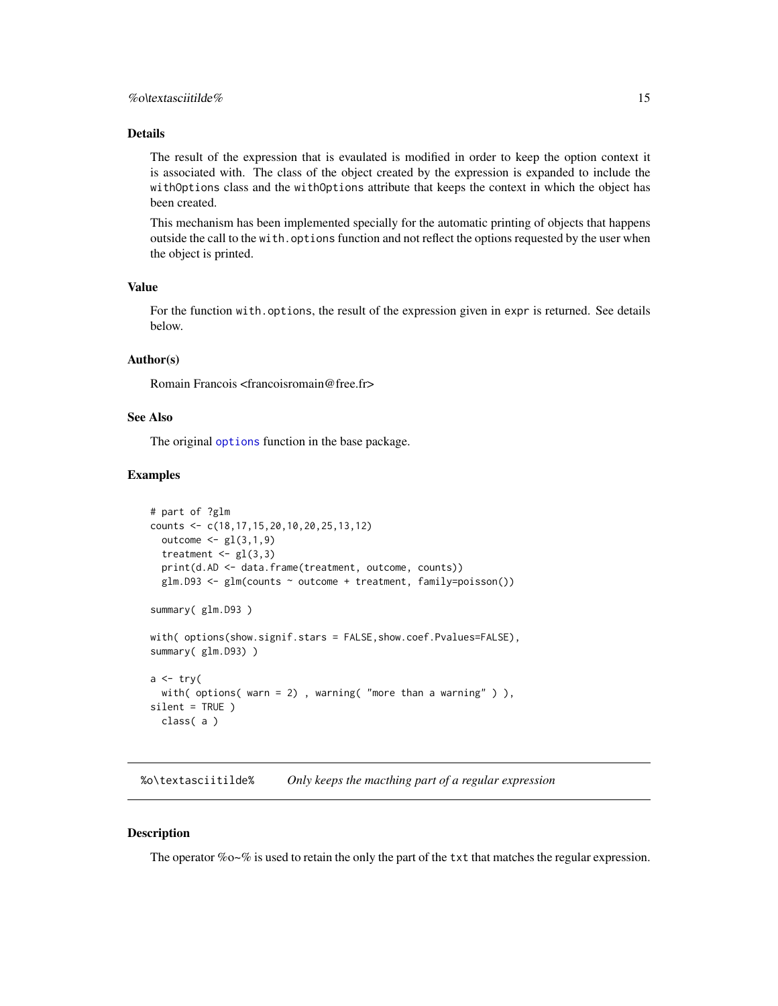## <span id="page-14-0"></span>Details

The result of the expression that is evaulated is modified in order to keep the option context it is associated with. The class of the object created by the expression is expanded to include the withOptions class and the withOptions attribute that keeps the context in which the object has been created.

This mechanism has been implemented specially for the automatic printing of objects that happens outside the call to the with.options function and not reflect the options requested by the user when the object is printed.

## Value

For the function with.options, the result of the expression given in expr is returned. See details below.

#### Author(s)

Romain Francois <francoisromain@free.fr>

#### See Also

The original [options](#page-13-1) function in the base package.

#### Examples

```
# part of ?glm
counts <- c(18,17,15,20,10,20,25,13,12)
 outcome \leq gl(3,1,9)
 treatment \leq gl(3,3)
 print(d.AD <- data.frame(treatment, outcome, counts))
 glm.D93 \leq glm(counts \sim outcome + treatment, family=poisson())summary( glm.D93 )
with( options(show.signif.stars = FALSE,show.coef.Pvalues=FALSE),
summary( glm.D93) )
a \leftarrow try(with( options( warn = 2), warning( "more than a warning" )),
silent = TRUE )
 class( a )
```
%o\textasciitilde% *Only keeps the macthing part of a regular expression*

#### Description

The operator %o~% is used to retain the only the part of the txt that matches the regular expression.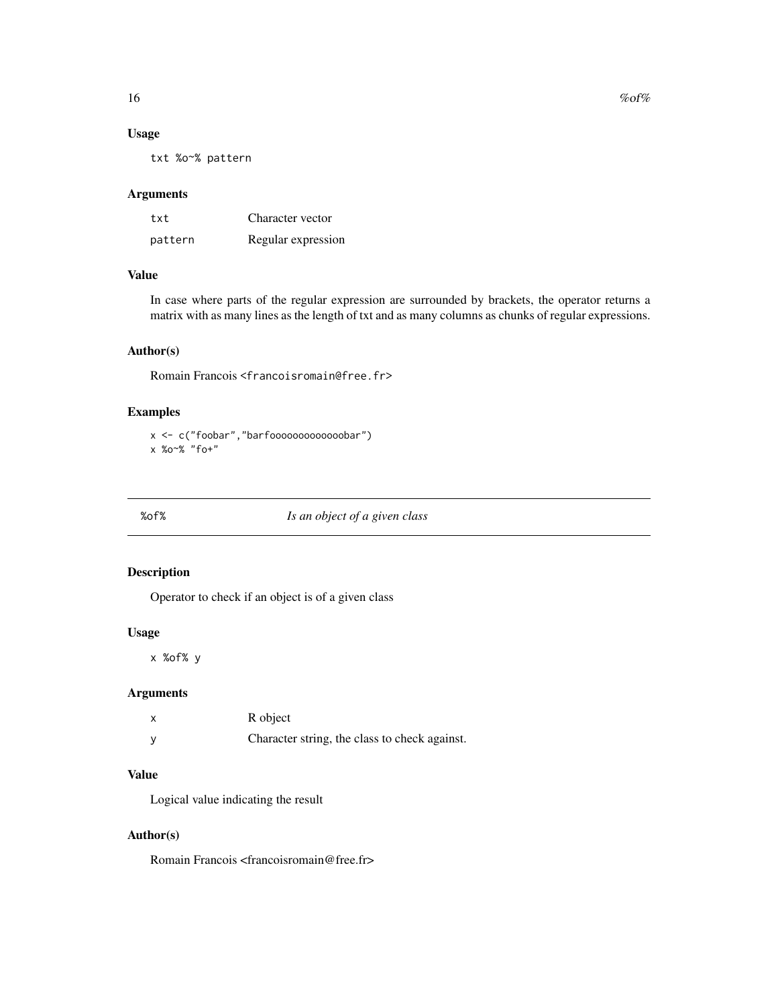<span id="page-15-0"></span> $16$  % of %

#### Usage

txt %o~% pattern

#### Arguments

| txt     | Character vector   |
|---------|--------------------|
| pattern | Regular expression |

## Value

In case where parts of the regular expression are surrounded by brackets, the operator returns a matrix with as many lines as the length of txt and as many columns as chunks of regular expressions.

## Author(s)

Romain Francois <francoisromain@free.fr>

## Examples

```
x <- c("foobar","barfooooooooooooobar")
x %o~% "fo+"
```
## %of% *Is an object of a given class*

## Description

Operator to check if an object is of a given class

#### Usage

x %of% y

## Arguments

| R object                                      |
|-----------------------------------------------|
| Character string, the class to check against. |

## Value

Logical value indicating the result

## Author(s)

Romain Francois <francoisromain@free.fr>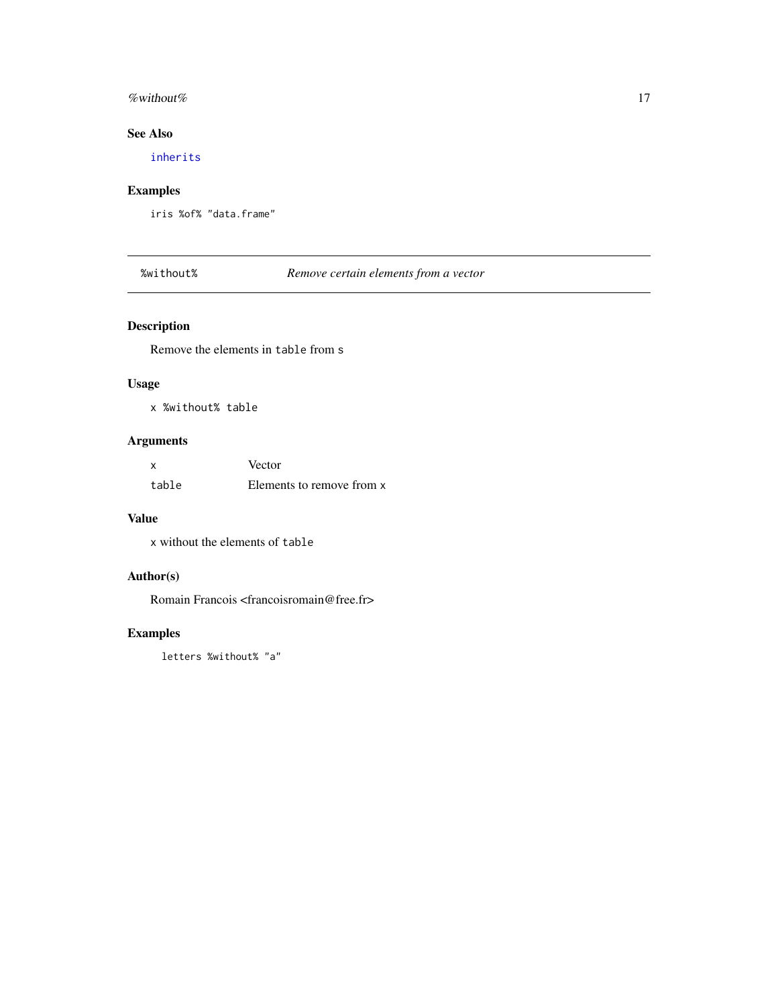#### <span id="page-16-0"></span>% without %  $17$

## See Also

[inherits](#page-0-0)

## Examples

iris %of% "data.frame"

%without% *Remove certain elements from a vector*

## Description

Remove the elements in table from s

## Usage

x %without% table

## Arguments

|       | Vector                    |
|-------|---------------------------|
| table | Elements to remove from x |

## Value

x without the elements of table

## Author(s)

Romain Francois <francoisromain@free.fr>

## Examples

letters %without% "a"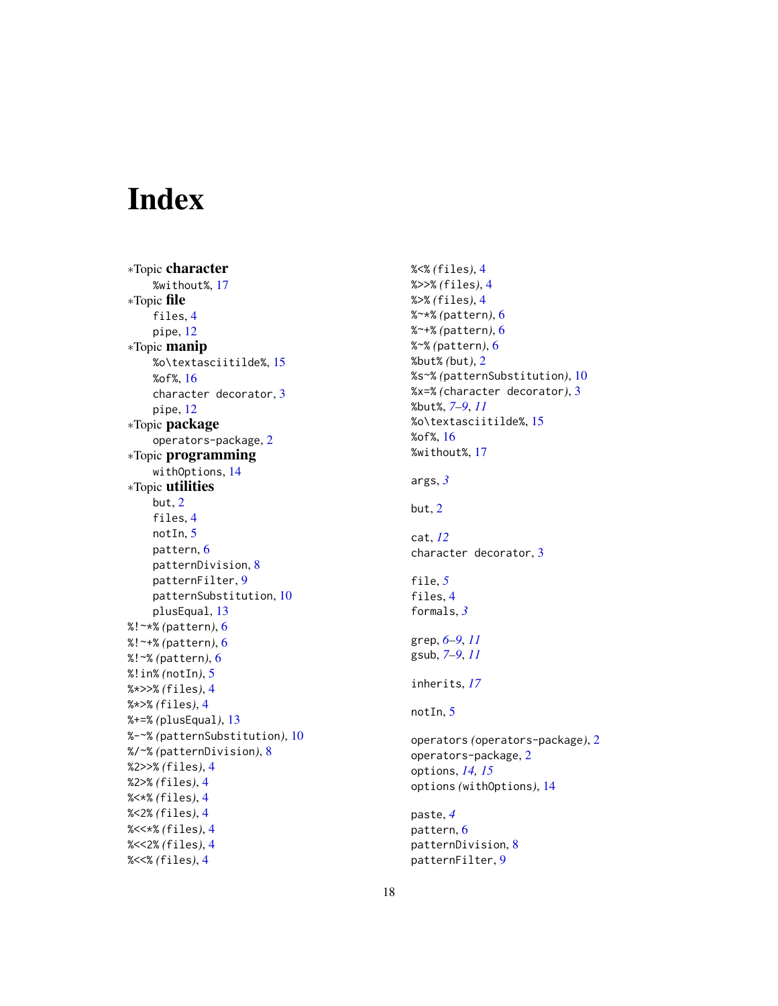# <span id="page-17-0"></span>Index

∗Topic character %without%, [17](#page-16-0) ∗Topic file files, [4](#page-3-0) pipe, [12](#page-11-0) ∗Topic manip %o\textasciitilde%, [15](#page-14-0) %of%, [16](#page-15-0) character decorator, [3](#page-2-0) pipe, [12](#page-11-0) ∗Topic package operators-package, [2](#page-1-0) ∗Topic programming withOptions, [14](#page-13-0) ∗Topic utilities but, [2](#page-1-0) files, [4](#page-3-0) notIn, [5](#page-4-0) pattern, [6](#page-5-0) patternDivision, [8](#page-7-0) patternFilter, [9](#page-8-0) patternSubstitution, [10](#page-9-0) plusEqual, [13](#page-12-0) %!~\*% *(*pattern*)*, [6](#page-5-0) %!~+% *(*pattern*)*, [6](#page-5-0) %!~% *(*pattern*)*, [6](#page-5-0) %!in% *(*notIn*)*, [5](#page-4-0) %\*>>% *(*files*)*, [4](#page-3-0) %\*>% *(*files*)*, [4](#page-3-0) %+=% *(*plusEqual*)*, [13](#page-12-0) %-~% *(*patternSubstitution*)*, [10](#page-9-0) %/~% *(*patternDivision*)*, [8](#page-7-0) %2>>% *(*files*)*, [4](#page-3-0) %2>% *(*files*)*, [4](#page-3-0) %<\*% *(*files*)*, [4](#page-3-0) %<2% *(*files*)*, [4](#page-3-0) %<<\*% *(*files*)*, [4](#page-3-0) %<<2% *(*files*)*, [4](#page-3-0) %<<% *(*files*)*, [4](#page-3-0)

%<% *(*files*)*, [4](#page-3-0) %>>% *(*files*)*, [4](#page-3-0) %>% *(*files*)*, [4](#page-3-0) %~\*% *(*pattern*)*, [6](#page-5-0) %~+% *(*pattern*)*, [6](#page-5-0) %~% *(*pattern*)*, [6](#page-5-0) %but% *(*but*)*, [2](#page-1-0) %s~% *(*patternSubstitution*)*, [10](#page-9-0) %x=% *(*character decorator*)*, [3](#page-2-0) %but%, *[7–](#page-6-0)[9](#page-8-0)*, *[11](#page-10-0)* %o\textasciitilde%, [15](#page-14-0) %of%, [16](#page-15-0) %without%, [17](#page-16-0) args, *[3](#page-2-0)* but, [2](#page-1-0) cat, *[12](#page-11-0)* character decorator, [3](#page-2-0) file, *[5](#page-4-0)* files, [4](#page-3-0) formals, *[3](#page-2-0)* grep, *[6–](#page-5-0)[9](#page-8-0)*, *[11](#page-10-0)* gsub, *[7–](#page-6-0)[9](#page-8-0)*, *[11](#page-10-0)* inherits, *[17](#page-16-0)* notIn, [5](#page-4-0) operators *(*operators-package*)*, [2](#page-1-0) operators-package, [2](#page-1-0) options, *[14,](#page-13-0) [15](#page-14-0)* options *(*withOptions*)*, [14](#page-13-0) paste, *[4](#page-3-0)* pattern, [6](#page-5-0) patternDivision, [8](#page-7-0) patternFilter, [9](#page-8-0)